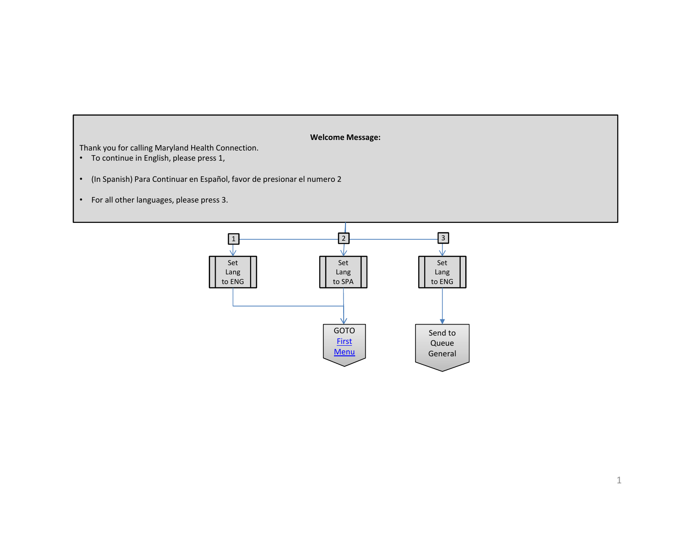# **Welcome Message:**

Thank you for calling Maryland Health Connection.

- To continue in English, please press 1,
- (In Spanish) Para Continuar en Español, favor de presionar el numero 2
- For all other languages, please press 3.

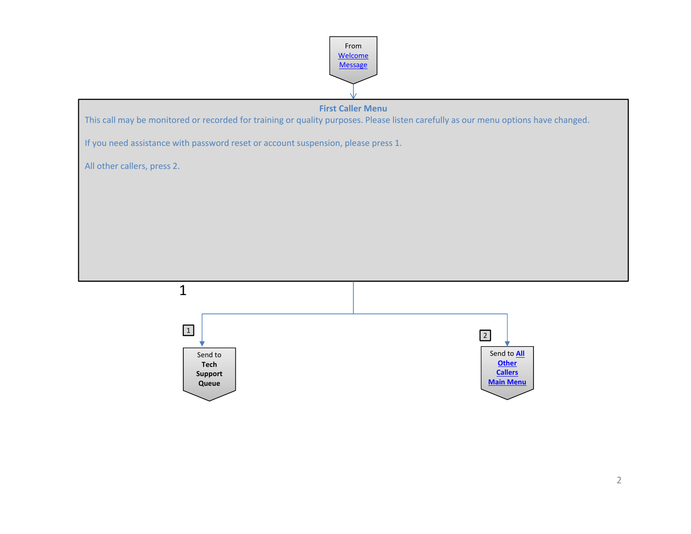



Send to **Tech Support Queue**

Send to **All Other Callers Main Menu**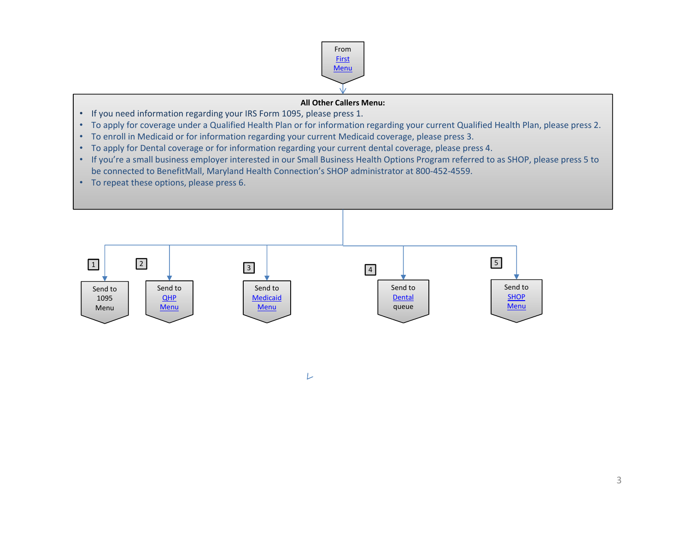

# **All Other Callers Menu:**

- If you need information regarding your IRS Form 1095, please press 1.
- To apply for coverage under a Qualified Health Plan or for information regarding your current Qualified Health Plan, please press 2.
- To enroll in Medicaid or for information regarding your current Medicaid coverage, please press 3.
- To apply for Dental coverage or for information regarding your current dental coverage, please press 4.
- If you're a small business employer interested in our Small Business Health Options Program referred to as SHOP, please press 5 to be connected to BenefitMall, Maryland Health Connection's SHOP administrator at 800‐452‐4559.
- To repeat these options, please press 6.



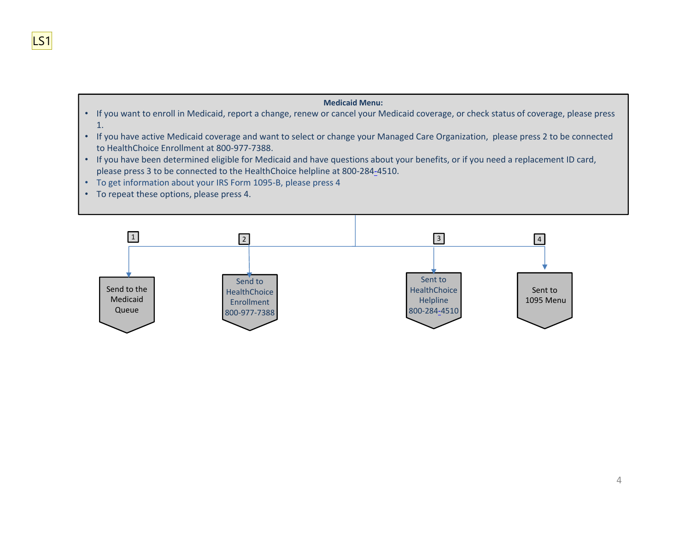# **Medicaid Menu:**

- If you want to enroll in Medicaid, report a change, renew or cancel your Medicaid coverage, or check status of coverage, please press 1.
- If you have active Medicaid coverage and want to select or change your Managed Care Organization, please press 2 to be connected to HealthChoice Enrollment at 800‐977‐7388.
- If you have been determined eligible for Medicaid and have questions about your benefits, or if you need a replacement ID card, please press 3 to be connected to the HealthChoice helpline at 800‐284‐4510.
- To get information about your IRS Form 1095‐B, please press 4
- To repeat these options, please press 4.



LS1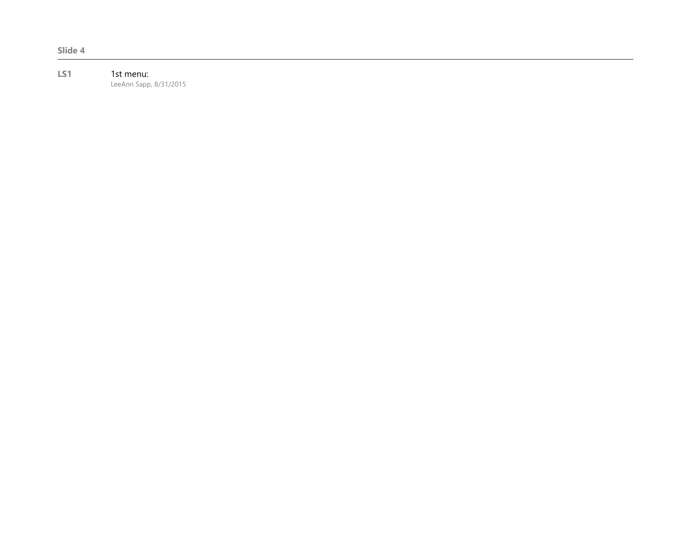#### **LS1** 1st menu: LeeAnn Sapp, 8/31/2015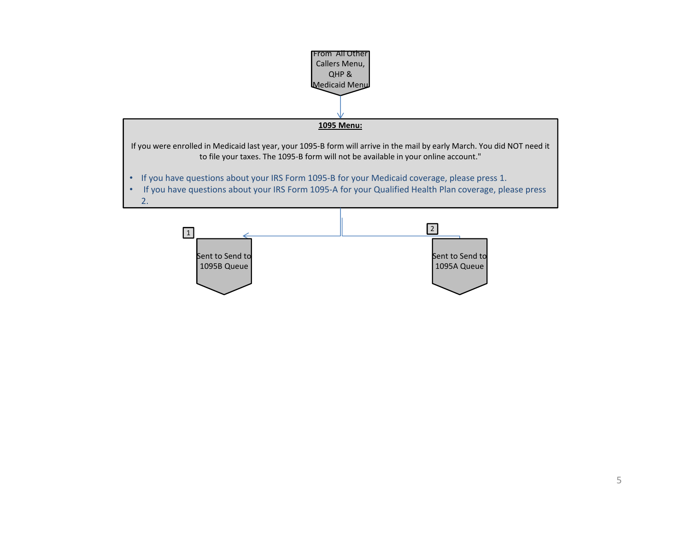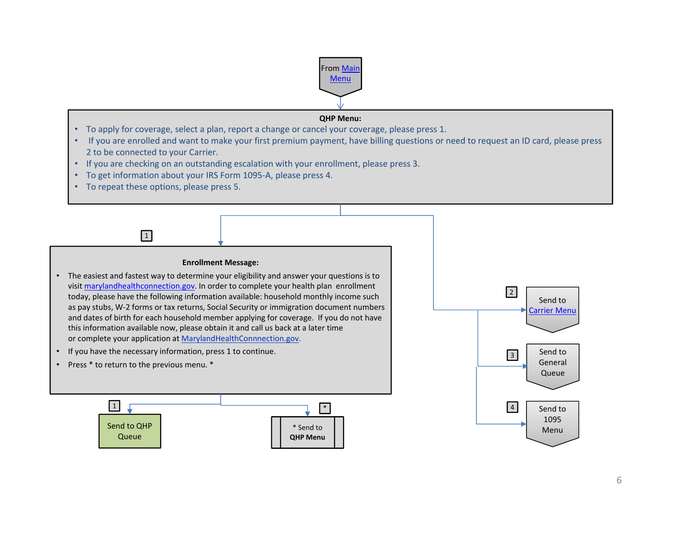

## **QHP Menu:**

- To apply for coverage, select a plan, report a change or cancel your coverage, please press 1.
- If you are enrolled and want to make your first premium payment, have billing questions or need to request an ID card, please press 2 to be connected to your Carrier.
- If you are checking on an outstanding escalation with your enrollment, please press 3.
- To get information about your IRS Form 1095‐A, please press 4.
- To repeat these options, please press 5.

1



- The easiest and fastest way to determine your eligibility and answer your questions is to visit marylandhealthconnection.gov. In order to complete your health plan enrollment today, please have the following information available: household monthly income such as pay stubs, W‐2 forms or tax returns, Social Security or immigration document numbers and dates of birth for each household member applying for coverage. If you do not have this information available now, please obtain it and call us back at a later time or complete your application at MarylandHealthConnnection.gov.
- If you have the necessary information, press 1 to continue.
- •Press \* to return to the previous menu. \*



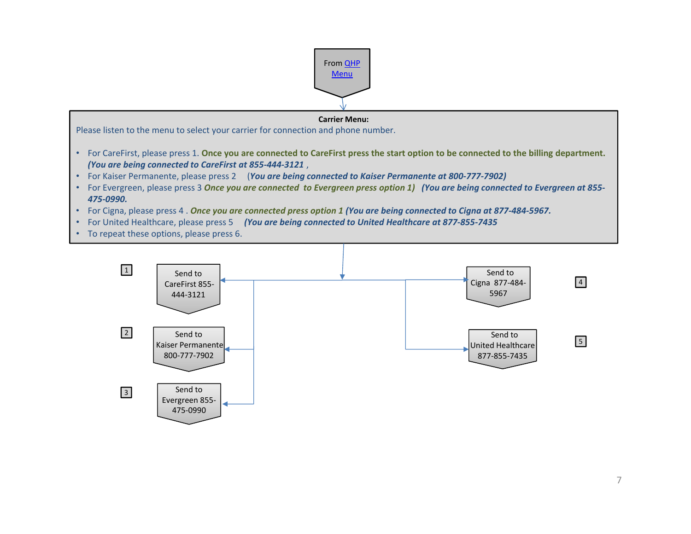

# **Carrier Menu:**

Please listen to the menu to select your carrier for connection and phone number.

- For CareFirst, please press 1. **Once you are connected to CareFirst press the start option to be connected to the billing department.**  *(You are being connected to CareFirst at 855‐444‐3121* ,
- For Kaiser Permanente, please press 2 (*You are being connected to Kaiser Permanente at 800‐777‐7902)*
- For Evergreen, please press 3 *Once you are connected to Evergreen press option 1) (You are being connected to Evergreen at 855‐ 475‐0990.*
- For Cigna, please press 4 . *Once you are connected press option 1 (You are being connected to Cigna at 877‐484‐5967.*
- For United Healthcare, please press 5 *(You are being connected to United Healthcare at 877‐855‐7435*
- To repeat these options, please press 6.